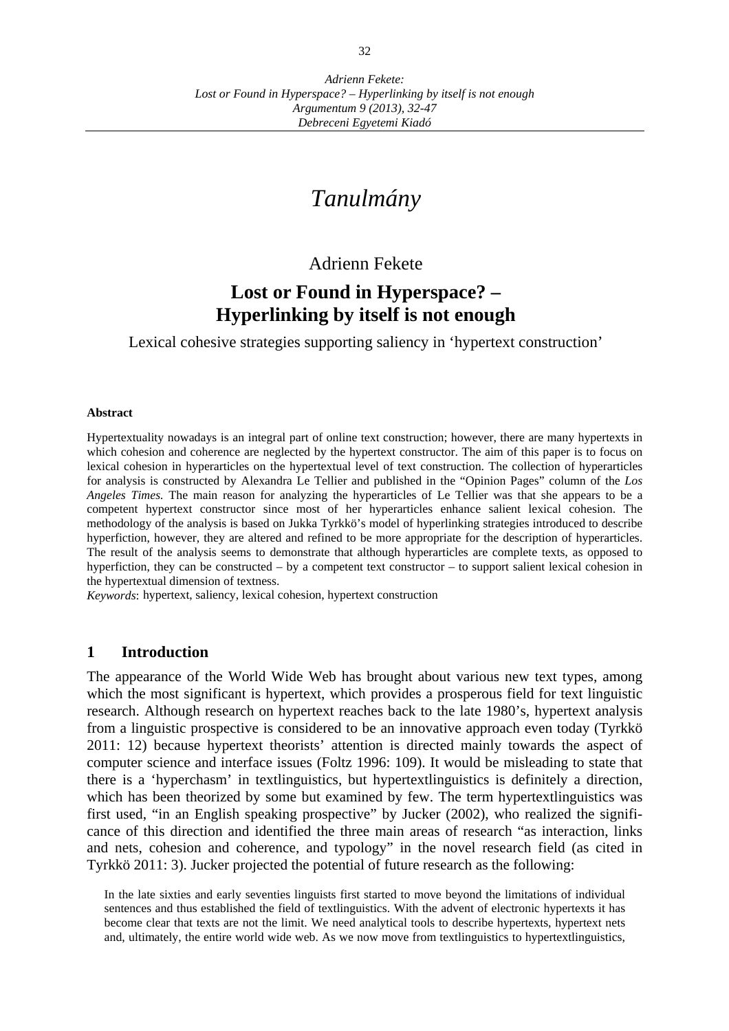*Debreceni Egyetemi Kiadó* 

# *Tanulmány*

# Adrienn Fekete

# **Lost or Found in Hyperspace? – Hyperlinking by itself is not enough**

Lexical cohesive strategies supporting saliency in 'hypertext construction'

#### **Abstract**

Hypertextuality nowadays is an integral part of online text construction; however, there are many hypertexts in which cohesion and coherence are neglected by the hypertext constructor. The aim of this paper is to focus on lexical cohesion in hyperarticles on the hypertextual level of text construction. The collection of hyperarticles for analysis is constructed by Alexandra Le Tellier and published in the "Opinion Pages" column of the *Los Angeles Times.* The main reason for analyzing the hyperarticles of Le Tellier was that she appears to be a competent hypertext constructor since most of her hyperarticles enhance salient lexical cohesion. The methodology of the analysis is based on Jukka Tyrkkö's model of hyperlinking strategies introduced to describe hyperfiction, however, they are altered and refined to be more appropriate for the description of hyperarticles. The result of the analysis seems to demonstrate that although hyperarticles are complete texts, as opposed to hyperfiction, they can be constructed – by a competent text constructor – to support salient lexical cohesion in the hypertextual dimension of textness.

*Keywords*: hypertext, saliency, lexical cohesion, hypertext construction

### **1 Introduction**

The appearance of the World Wide Web has brought about various new text types, among which the most significant is hypertext, which provides a prosperous field for text linguistic research. Although research on hypertext reaches back to the late 1980's, hypertext analysis from a linguistic prospective is considered to be an innovative approach even today (Tyrkkö 2011: 12) because hypertext theorists' attention is directed mainly towards the aspect of computer science and interface issues (Foltz 1996: 109). It would be misleading to state that there is a 'hyperchasm' in textlinguistics, but hypertextlinguistics is definitely a direction, which has been theorized by some but examined by few. The term hypertextlinguistics was first used, "in an English speaking prospective" by Jucker (2002), who realized the significance of this direction and identified the three main areas of research "as interaction, links and nets, cohesion and coherence, and typology" in the novel research field (as cited in Tyrkkö 2011: 3). Jucker projected the potential of future research as the following:

In the late sixties and early seventies linguists first started to move beyond the limitations of individual sentences and thus established the field of textlinguistics. With the advent of electronic hypertexts it has become clear that texts are not the limit. We need analytical tools to describe hypertexts, hypertext nets and, ultimately, the entire world wide web. As we now move from textlinguistics to hypertextlinguistics,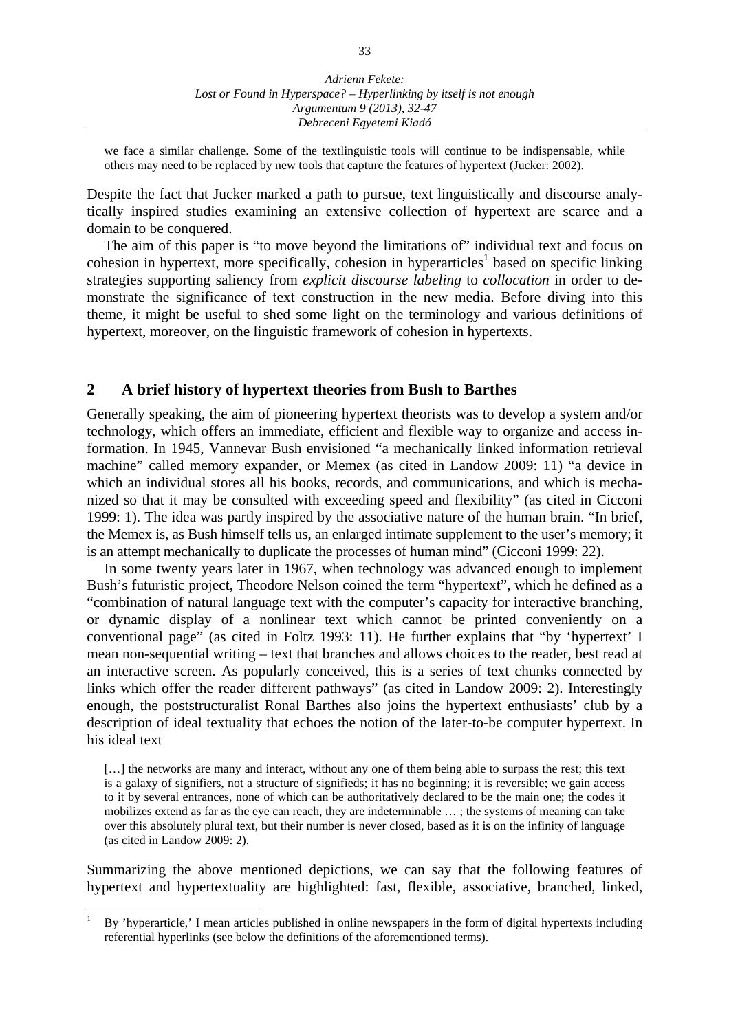we face a similar challenge. Some of the textlinguistic tools will continue to be indispensable, while others may need to be replaced by new tools that capture the features of hypertext (Jucker: 2002).

Despite the fact that Jucker marked a path to pursue, text linguistically and discourse analytically inspired studies examining an extensive collection of hypertext are scarce and a domain to be conquered.

The aim of this paper is "to move beyond the limitations of" individual text and focus on cohesion in hypertext, more specifically, cohesion in hyperarticles<sup>1</sup> based on specific linking strategies supporting saliency from *explicit discourse labeling* to *collocation* in order to demonstrate the significance of text construction in the new media. Before diving into this theme, it might be useful to shed some light on the terminology and various definitions of hypertext, moreover, on the linguistic framework of cohesion in hypertexts.

### **2 A brief history of hypertext theories from Bush to Barthes**

Generally speaking, the aim of pioneering hypertext theorists was to develop a system and/or technology, which offers an immediate, efficient and flexible way to organize and access information. In 1945, Vannevar Bush envisioned "a mechanically linked information retrieval machine" called memory expander, or Memex (as cited in Landow 2009: 11) "a device in which an individual stores all his books, records, and communications, and which is mechanized so that it may be consulted with exceeding speed and flexibility" (as cited in Cicconi 1999: 1). The idea was partly inspired by the associative nature of the human brain. "In brief, the Memex is, as Bush himself tells us, an enlarged intimate supplement to the user's memory; it is an attempt mechanically to duplicate the processes of human mind" (Cicconi 1999: 22).

In some twenty years later in 1967, when technology was advanced enough to implement Bush's futuristic project, Theodore Nelson coined the term "hypertext", which he defined as a "combination of natural language text with the computer's capacity for interactive branching, or dynamic display of a nonlinear text which cannot be printed conveniently on a conventional page" (as cited in Foltz 1993: 11). He further explains that "by 'hypertext' I mean non-sequential writing – text that branches and allows choices to the reader, best read at an interactive screen. As popularly conceived, this is a series of text chunks connected by links which offer the reader different pathways" (as cited in Landow 2009: 2). Interestingly enough, the poststructuralist Ronal Barthes also joins the hypertext enthusiasts' club by a description of ideal textuality that echoes the notion of the later-to-be computer hypertext. In his ideal text

[...] the networks are many and interact, without any one of them being able to surpass the rest; this text is a galaxy of signifiers, not a structure of signifieds; it has no beginning; it is reversible; we gain access to it by several entrances, none of which can be authoritatively declared to be the main one; the codes it mobilizes extend as far as the eye can reach, they are indeterminable … ; the systems of meaning can take over this absolutely plural text, but their number is never closed, based as it is on the infinity of language (as cited in Landow 2009: 2).

Summarizing the above mentioned depictions, we can say that the following features of hypertext and hypertextuality are highlighted: fast, flexible, associative, branched, linked,

<sup>1</sup> By 'hyperarticle,' I mean articles published in online newspapers in the form of digital hypertexts including referential hyperlinks (see below the definitions of the aforementioned terms).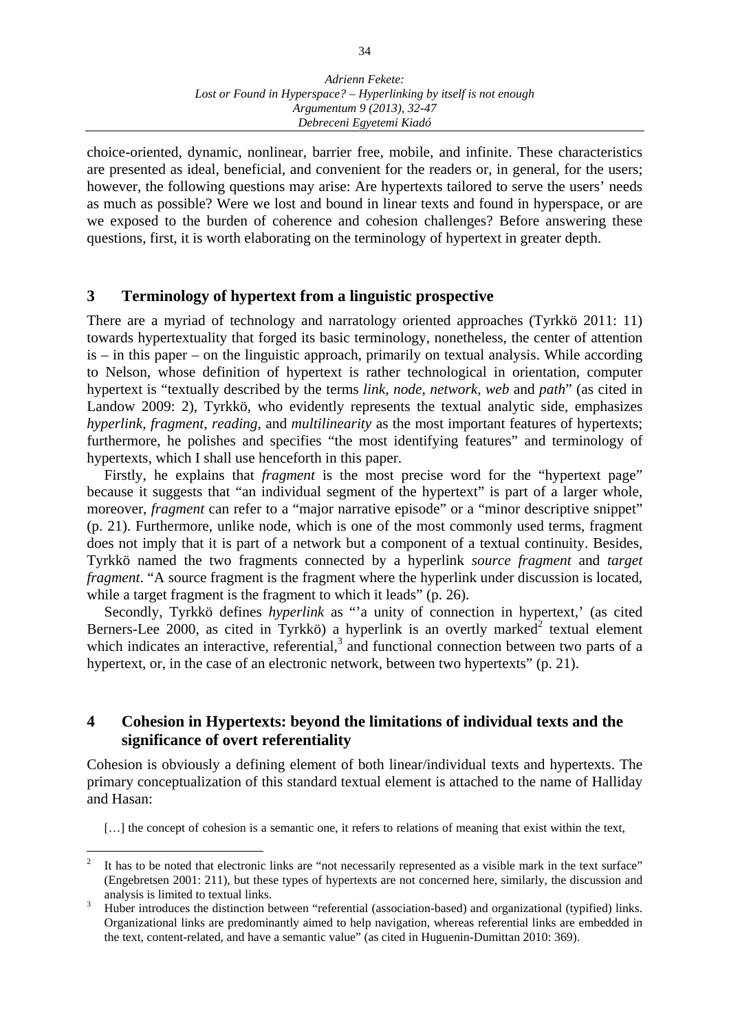choice-oriented, dynamic, nonlinear, barrier free, mobile, and infinite. These characteristics are presented as ideal, beneficial, and convenient for the readers or, in general, for the users; however, the following questions may arise: Are hypertexts tailored to serve the users' needs as much as possible? Were we lost and bound in linear texts and found in hyperspace, or are we exposed to the burden of coherence and cohesion challenges? Before answering these questions, first, it is worth elaborating on the terminology of hypertext in greater depth.

### **3 Terminology of hypertext from a linguistic prospective**

There are a myriad of technology and narratology oriented approaches (Tyrkkö 2011: 11) towards hypertextuality that forged its basic terminology, nonetheless, the center of attention is – in this paper – on the linguistic approach, primarily on textual analysis. While according to Nelson, whose definition of hypertext is rather technological in orientation, computer hypertext is "textually described by the terms *link*, *node*, *network*, *web* and *path*" (as cited in Landow 2009: 2), Tyrkkö, who evidently represents the textual analytic side, emphasizes *hyperlink*, *fragment*, *reading*, and *multilinearity* as the most important features of hypertexts; furthermore, he polishes and specifies "the most identifying features" and terminology of hypertexts, which I shall use henceforth in this paper.

Firstly, he explains that *fragment* is the most precise word for the "hypertext page" because it suggests that "an individual segment of the hypertext" is part of a larger whole, moreover, *fragment* can refer to a "major narrative episode" or a "minor descriptive snippet" (p. 21). Furthermore, unlike node, which is one of the most commonly used terms, fragment does not imply that it is part of a network but a component of a textual continuity. Besides, Tyrkkö named the two fragments connected by a hyperlink *source fragment* and *target fragment*. "A source fragment is the fragment where the hyperlink under discussion is located, while a target fragment is the fragment to which it leads" (p. 26).

Secondly, Tyrkkö defines *hyperlink* as "'a unity of connection in hypertext,' (as cited Berners-Lee 2000, as cited in Tyrkkö) a hyperlink is an overtly marked<sup>2</sup> textual element which indicates an interactive, referential, $3$  and functional connection between two parts of a hypertext, or, in the case of an electronic network, between two hypertexts" (p. 21).

## **4 Cohesion in Hypertexts: beyond the limitations of individual texts and the significance of overt referentiality**

Cohesion is obviously a defining element of both linear/individual texts and hypertexts. The primary conceptualization of this standard textual element is attached to the name of Halliday and Hasan:

[...] the concept of cohesion is a semantic one, it refers to relations of meaning that exist within the text,

 $\frac{1}{2}$  It has to be noted that electronic links are "not necessarily represented as a visible mark in the text surface" (Engebretsen 2001: 211), but these types of hypertexts are not concerned here, similarly, the discussion and analysis is limited to textual links.

<sup>3</sup> Huber introduces the distinction between "referential (association-based) and organizational (typified) links. Organizational links are predominantly aimed to help navigation, whereas referential links are embedded in the text, content-related, and have a semantic value" (as cited in Huguenin-Dumittan 2010: 369).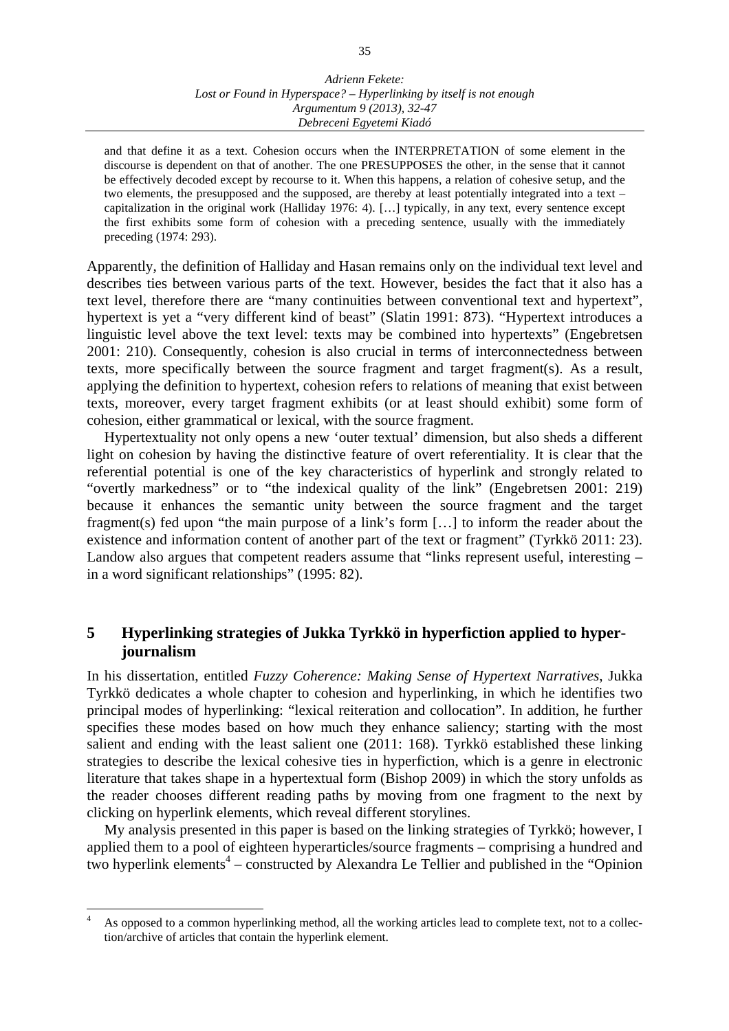and that define it as a text. Cohesion occurs when the INTERPRETATION of some element in the discourse is dependent on that of another. The one PRESUPPOSES the other, in the sense that it cannot be effectively decoded except by recourse to it. When this happens, a relation of cohesive setup, and the two elements, the presupposed and the supposed, are thereby at least potentially integrated into a text – capitalization in the original work (Halliday 1976: 4). […] typically, in any text, every sentence except the first exhibits some form of cohesion with a preceding sentence, usually with the immediately preceding (1974: 293).

Apparently, the definition of Halliday and Hasan remains only on the individual text level and describes ties between various parts of the text. However, besides the fact that it also has a text level, therefore there are "many continuities between conventional text and hypertext", hypertext is yet a "very different kind of beast" (Slatin 1991: 873). "Hypertext introduces a linguistic level above the text level: texts may be combined into hypertexts" (Engebretsen 2001: 210). Consequently, cohesion is also crucial in terms of interconnectedness between texts, more specifically between the source fragment and target fragment(s). As a result, applying the definition to hypertext, cohesion refers to relations of meaning that exist between texts, moreover, every target fragment exhibits (or at least should exhibit) some form of cohesion, either grammatical or lexical, with the source fragment.

Hypertextuality not only opens a new 'outer textual' dimension, but also sheds a different light on cohesion by having the distinctive feature of overt referentiality. It is clear that the referential potential is one of the key characteristics of hyperlink and strongly related to "overtly markedness" or to "the indexical quality of the link" (Engebretsen 2001: 219) because it enhances the semantic unity between the source fragment and the target fragment(s) fed upon "the main purpose of a link's form […] to inform the reader about the existence and information content of another part of the text or fragment" (Tyrkkö 2011: 23). Landow also argues that competent readers assume that "links represent useful, interesting – in a word significant relationships" (1995: 82).

# **5 Hyperlinking strategies of Jukka Tyrkkö in hyperfiction applied to hyperjournalism**

In his dissertation, entitled *Fuzzy Coherence: Making Sense of Hypertext Narratives*, Jukka Tyrkkö dedicates a whole chapter to cohesion and hyperlinking, in which he identifies two principal modes of hyperlinking: "lexical reiteration and collocation". In addition, he further specifies these modes based on how much they enhance saliency; starting with the most salient and ending with the least salient one (2011: 168). Tyrkkö established these linking strategies to describe the lexical cohesive ties in hyperfiction, which is a genre in electronic literature that takes shape in a hypertextual form (Bishop 2009) in which the story unfolds as the reader chooses different reading paths by moving from one fragment to the next by clicking on hyperlink elements, which reveal different storylines.

My analysis presented in this paper is based on the linking strategies of Tyrkkö; however, I applied them to a pool of eighteen hyperarticles/source fragments – comprising a hundred and two hyperlink elements<sup>4</sup> – constructed by Alexandra Le Tellier and published in the "Opinion"

<sup>4</sup> As opposed to a common hyperlinking method, all the working articles lead to complete text, not to a collection/archive of articles that contain the hyperlink element.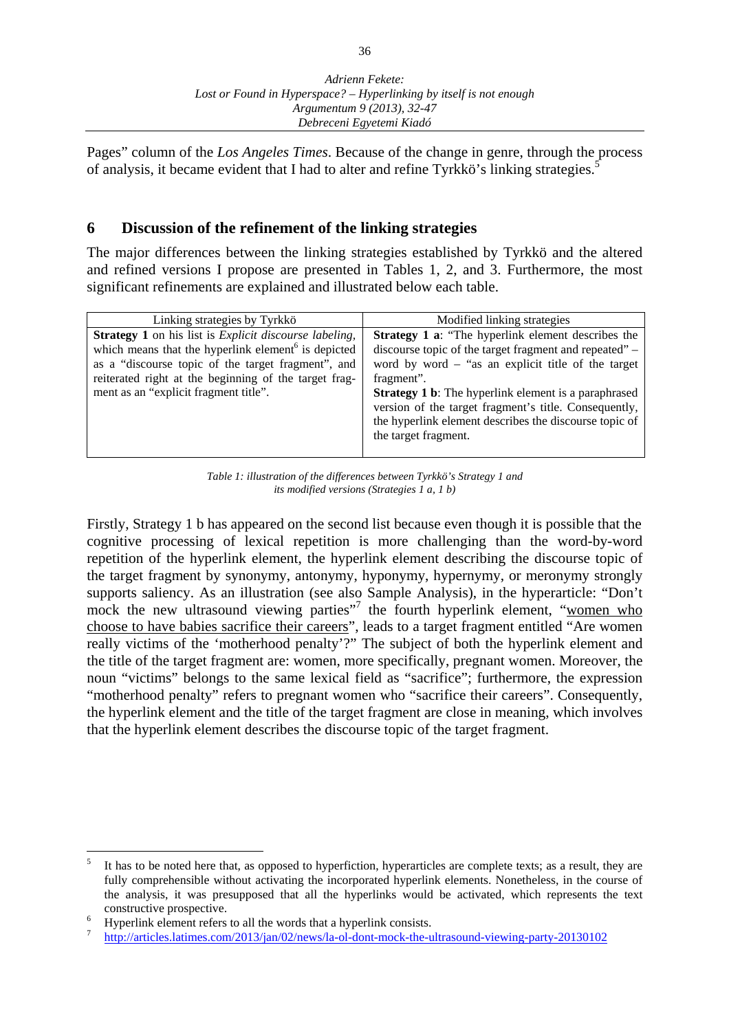Pages" column of the *Los Angeles Times*. Because of the change in genre, through the process of analysis, it became evident that I had to alter and refine Tyrkkö's linking strategies.<sup>5</sup>

# **6 Discussion of the refinement of the linking strategies**

The major differences between the linking strategies established by Tyrkkö and the altered and refined versions I propose are presented in Tables 1, 2, and 3. Furthermore, the most significant refinements are explained and illustrated below each table.

| Linking strategies by Tyrkkö                                                                                                                                                                                                                                                                     | Modified linking strategies                                                                                                                                                                                                                                                                                                                                                                         |
|--------------------------------------------------------------------------------------------------------------------------------------------------------------------------------------------------------------------------------------------------------------------------------------------------|-----------------------------------------------------------------------------------------------------------------------------------------------------------------------------------------------------------------------------------------------------------------------------------------------------------------------------------------------------------------------------------------------------|
| <b>Strategy 1</b> on his list is <i>Explicit discourse labeling</i> ,<br>which means that the hyperlink element <sup>6</sup> is depicted<br>as a "discourse topic of the target fragment", and<br>reiterated right at the beginning of the target frag-<br>ment as an "explicit fragment title". | <b>Strategy 1 a:</b> "The hyperlink element describes the<br>discourse topic of the target fragment and repeated" –<br>word by word $-$ "as an explicit title of the target<br>fragment".<br><b>Strategy 1 b:</b> The hyperlink element is a paraphrased<br>version of the target fragment's title. Consequently,<br>the hyperlink element describes the discourse topic of<br>the target fragment. |

*Table 1: illustration of the differences between Tyrkkö's Strategy 1 and its modified versions (Strategies 1 a, 1 b)* 

Firstly, Strategy 1 b has appeared on the second list because even though it is possible that the cognitive processing of lexical repetition is more challenging than the word-by-word repetition of the hyperlink element, the hyperlink element describing the discourse topic of the target fragment by synonymy, antonymy, hyponymy, hypernymy, or meronymy strongly supports saliency. As an illustration (see also Sample Analysis), in the hyperarticle: "Don't mock the new ultrasound viewing parties"<sup>7</sup> the fourth hyperlink element, "women who choose to have babies sacrifice their careers", leads to a target fragment entitled "Are women really victims of the 'motherhood penalty'?" The subject of both the hyperlink element and the title of the target fragment are: women, more specifically, pregnant women. Moreover, the noun "victims" belongs to the same lexical field as "sacrifice"; furthermore, the expression "motherhood penalty" refers to pregnant women who "sacrifice their careers". Consequently, the hyperlink element and the title of the target fragment are close in meaning, which involves that the hyperlink element describes the discourse topic of the target fragment.

 $\overline{a}$ 5 It has to be noted here that, as opposed to hyperfiction, hyperarticles are complete texts; as a result, they are fully comprehensible without activating the incorporated hyperlink elements. Nonetheless, in the course of the analysis, it was presupposed that all the hyperlinks would be activated, which represents the text constructive prospective.

<sup>6</sup> Hyperlink element refers to all the words that a hyperlink consists.

<sup>7</sup> http://articles.latimes.com/2013/jan/02/news/la-ol-dont-mock-the-ultrasound-viewing-party-20130102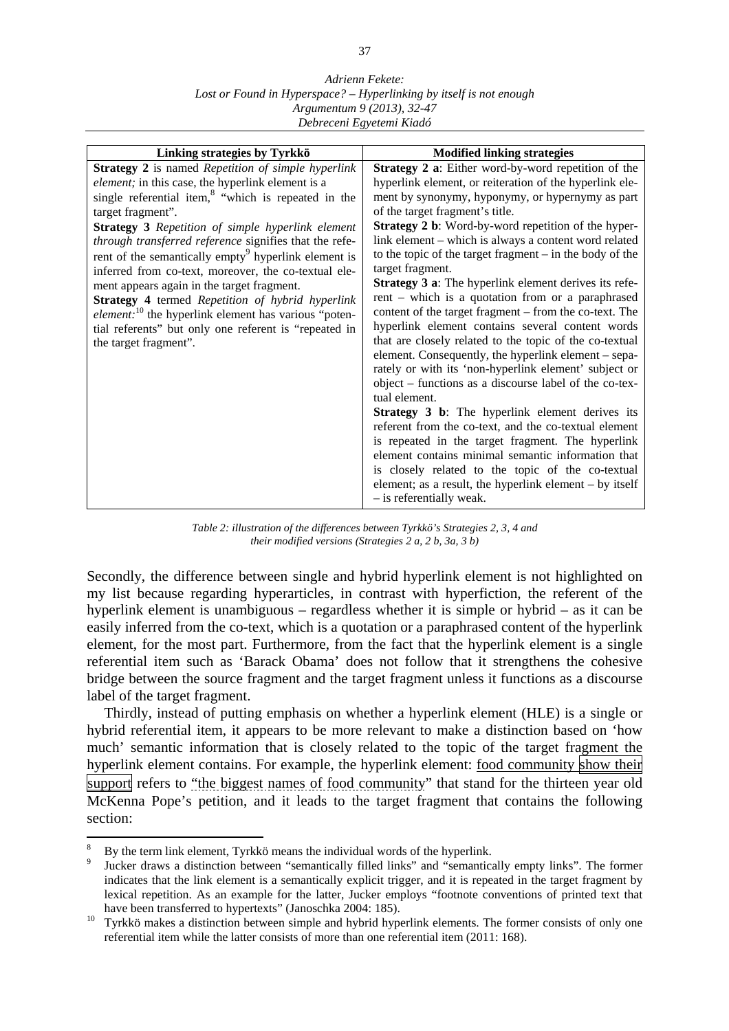#### *Adrienn Fekete: Lost or Found in Hyperspace? – Hyperlinking by itself is not enough Argumentum 9 (2013), 32-47 Debreceni Egyetemi Kiadó*

*Table 2: illustration of the differences between Tyrkkö's Strategies 2, 3, 4 and their modified versions (Strategies 2 a, 2 b, 3a, 3 b)* 

Secondly, the difference between single and hybrid hyperlink element is not highlighted on my list because regarding hyperarticles, in contrast with hyperfiction, the referent of the hyperlink element is unambiguous – regardless whether it is simple or hybrid – as it can be easily inferred from the co-text, which is a quotation or a paraphrased content of the hyperlink element, for the most part. Furthermore, from the fact that the hyperlink element is a single referential item such as 'Barack Obama' does not follow that it strengthens the cohesive bridge between the source fragment and the target fragment unless it functions as a discourse label of the target fragment.

 Thirdly, instead of putting emphasis on whether a hyperlink element (HLE) is a single or hybrid referential item, it appears to be more relevant to make a distinction based on 'how much' semantic information that is closely related to the topic of the target fragment the hyperlink element contains. For example, the hyperlink element: food community show their support refers to "the biggest names of food community" that stand for the thirteen year old McKenna Pope's petition, and it leads to the target fragment that contains the following section:

<sup>8</sup> By the term link element, Tyrkkö means the individual words of the hyperlink.

<sup>9</sup> Jucker draws a distinction between "semantically filled links" and "semantically empty links". The former indicates that the link element is a semantically explicit trigger, and it is repeated in the target fragment by lexical repetition. As an example for the latter, Jucker employs "footnote conventions of printed text that have been transferred to hypertexts" (Janoschka 2004: 185).

<sup>&</sup>lt;sup>10</sup> Tyrkkö makes a distinction between simple and hybrid hyperlink elements. The former consists of only one referential item while the latter consists of more than one referential item (2011: 168).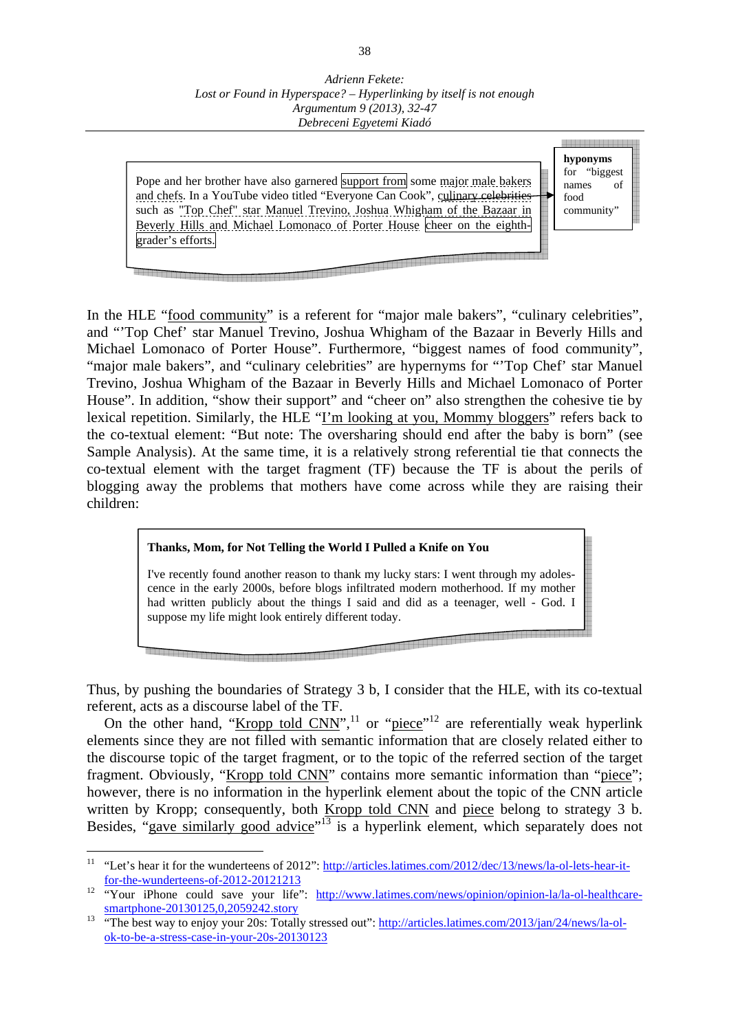Pope and her brother have also garnered support from some major male bakers and chefs. In a YouTube video titled "Everyone Can Cook", culinary celebrities such as "Top Chef" star Manuel Trevino, Joshua Whigham of the Bazaar in Beverly Hills and Michael Lomonaco of Porter House cheer on the eighthgrader's efforts.



**ь полиция и продукта в странение и продукта и странение и странение и странение и странение и странение и стра** 

In the HLE "food community" is a referent for "major male bakers", "culinary celebrities", and "'Top Chef' star Manuel Trevino, Joshua Whigham of the Bazaar in Beverly Hills and Michael Lomonaco of Porter House". Furthermore, "biggest names of food community", "major male bakers", and "culinary celebrities" are hypernyms for "'Top Chef' star Manuel Trevino, Joshua Whigham of the Bazaar in Beverly Hills and Michael Lomonaco of Porter House". In addition, "show their support" and "cheer on" also strengthen the cohesive tie by lexical repetition. Similarly, the HLE "I'm looking at you, Mommy bloggers" refers back to the co-textual element: "But note: The oversharing should end after the baby is born" (see Sample Analysis). At the same time, it is a relatively strong referential tie that connects the co-textual element with the target fragment (TF) because the TF is about the perils of blogging away the problems that mothers have come across while they are raising their children:

# **Thanks, Mom, for Not Telling the World I Pulled a Knife on You**

I've recently found another reason to thank my lucky stars: I went through my adolescence in the early 2000s, before blogs infiltrated modern motherhood. If my mother had written publicly about the things I said and did as a teenager, well - God. I suppose my life might look entirely different today.

Thus, by pushing the boundaries of Strategy 3 b, I consider that the HLE, with its co-textual referent, acts as a discourse label of the TF.

On the other hand, "Kropp told  $CNN$ ",<sup>11</sup> or "piece"<sup>12</sup> are referentially weak hyperlink elements since they are not filled with semantic information that are closely related either to the discourse topic of the target fragment, or to the topic of the referred section of the target fragment. Obviously, "Kropp told CNN" contains more semantic information than "piece"; however, there is no information in the hyperlink element about the topic of the CNN article written by Kropp; consequently, both Kropp told CNN and piece belong to strategy 3 b. Besides, "gave similarly good advice"<sup>13</sup> is a hyperlink element, which separately does not

 $11$ "Let's hear it for the wunderteens of 2012": http://articles.latimes.com/2012/dec/13/news/la-ol-lets-hear-itfor-the-wunderteens-of-2012-20121213

<sup>&</sup>lt;sup>12</sup> "Your iPhone could save your life": http://www.latimes.com/news/opinion/opinion-la/la-ol-healthcaresmartphone-20130125,0,2059242.story

<sup>&</sup>lt;sup>13</sup> "The best way to enjoy your 20s: Totally stressed out": http://articles.latimes.com/2013/jan/24/news/la-olok-to-be-a-stress-case-in-your-20s-20130123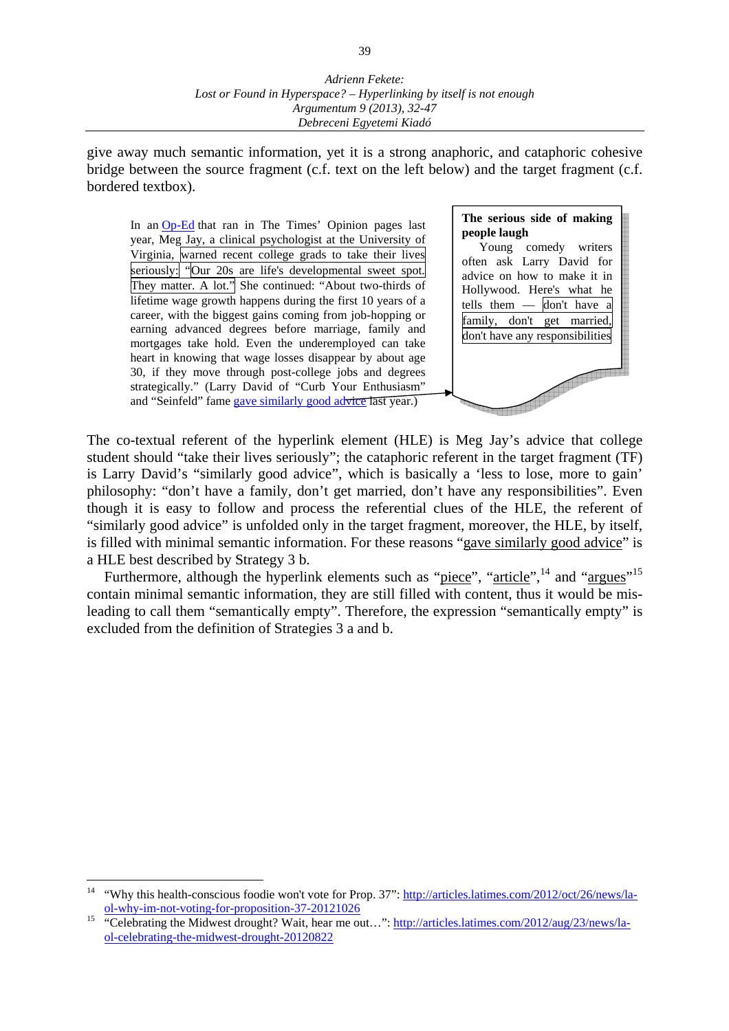give away much semantic information, yet it is a strong anaphoric, and cataphoric cohesive bridge between the source fragment (c.f. text on the left below) and the target fragment (c.f. bordered textbox).

In an Op-Ed that ran in The Times' Opinion pages last year, Meg Jay, a clinical psychologist at the University of Virginia, warned recent college grads to take their lives seriously: "Our 20s are life's developmental sweet spot. They matter. A lot." She continued: "About two-thirds of lifetime wage growth happens during the first 10 years of a career, with the biggest gains coming from job-hopping or earning advanced degrees before marriage, family and mortgages take hold. Even the underemployed can take heart in knowing that wage losses disappear by about age 30, if they move through post-college jobs and degrees strategically." (Larry David of "Curb Your Enthusiasm" and "Seinfeld" fame gave similarly good advice last year.)



The co-textual referent of the hyperlink element (HLE) is Meg Jay's advice that college student should "take their lives seriously"; the cataphoric referent in the target fragment (TF) is Larry David's "similarly good advice", which is basically a 'less to lose, more to gain' philosophy: "don't have a family, don't get married, don't have any responsibilities". Even though it is easy to follow and process the referential clues of the HLE, the referent of "similarly good advice" is unfolded only in the target fragment, moreover, the HLE, by itself, is filled with minimal semantic information. For these reasons "gave similarly good advice" is a HLE best described by Strategy 3 b.

Furthermore, although the hyperlink elements such as "piece", "article",<sup>14</sup> and "argues"<sup>15</sup> contain minimal semantic information, they are still filled with content, thus it would be misleading to call them "semantically empty". Therefore, the expression "semantically empty" is excluded from the definition of Strategies 3 a and b.

<sup>&</sup>lt;sup>14</sup> "Why this health-conscious foodie won't vote for Prop. 37": http://articles.latimes.com/2012/oct/26/news/laol-why-im-not-voting-for-proposition-37-20121026

<sup>&</sup>lt;sup>15</sup> "Celebrating the Midwest drought? Wait, hear me out...": http://articles.latimes.com/2012/aug/23/news/laol-celebrating-the-midwest-drought-20120822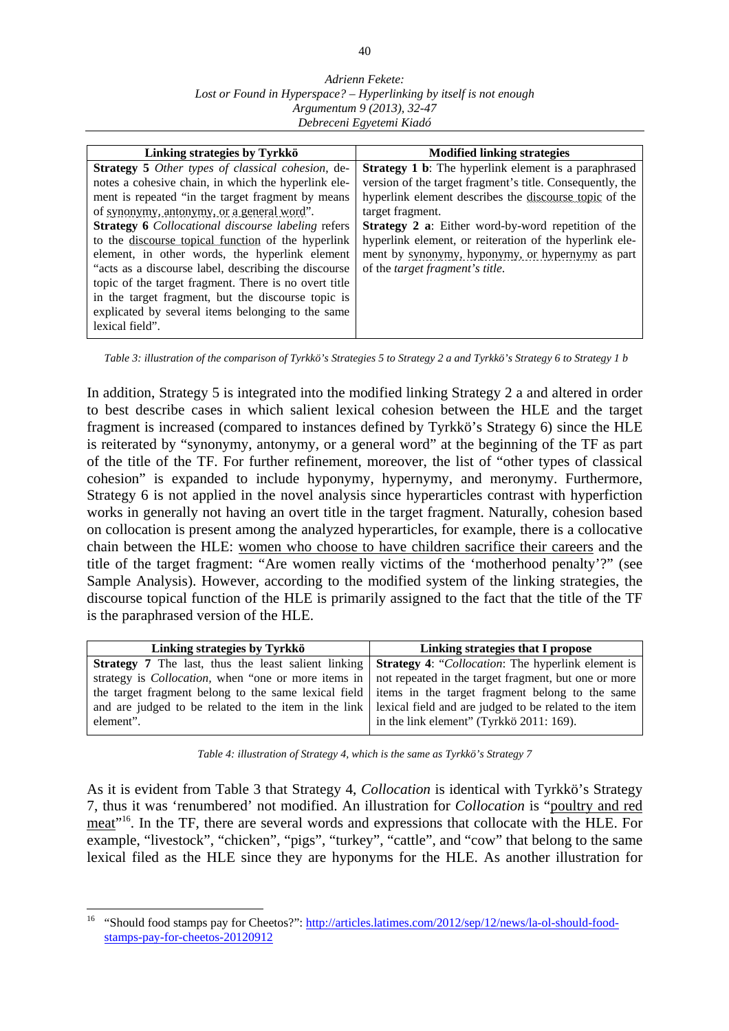#### *Adrienn Fekete: Lost or Found in Hyperspace? – Hyperlinking by itself is not enough Argumentum 9 (2013), 32-47 Debreceni Egyetemi Kiadó*

| Linking strategies by Tyrkkö                              | <b>Modified linking strategies</b>                          |  |
|-----------------------------------------------------------|-------------------------------------------------------------|--|
| <b>Strategy 5</b> Other types of classical cohesion, de-  | <b>Strategy 1 b:</b> The hyperlink element is a paraphrased |  |
| notes a cohesive chain, in which the hyperlink ele-       | version of the target fragment's title. Consequently, the   |  |
| ment is repeated "in the target fragment by means"        | hyperlink element describes the discourse topic of the      |  |
| of synonymy, antonymy, or a general word".                | target fragment.                                            |  |
| <b>Strategy 6</b> Collocational discourse labeling refers | <b>Strategy 2 a:</b> Either word-by-word repetition of the  |  |
| to the discourse topical function of the hyperlink        | hyperlink element, or reiteration of the hyperlink ele-     |  |
| element, in other words, the hyperlink element            | ment by synonymy, hyponymy, or hypernymy as part            |  |
| "acts as a discourse label, describing the discourse      | of the <i>target fragment's title</i> .                     |  |
| topic of the target fragment. There is no overt title     |                                                             |  |
| in the target fragment, but the discourse topic is        |                                                             |  |
| explicated by several items belonging to the same         |                                                             |  |
| lexical field".                                           |                                                             |  |
|                                                           |                                                             |  |

 *Table 3: illustration of the comparison of Tyrkkö's Strategies 5 to Strategy 2 a and Tyrkkö's Strategy 6 to Strategy 1 b* 

In addition, Strategy 5 is integrated into the modified linking Strategy 2 a and altered in order to best describe cases in which salient lexical cohesion between the HLE and the target fragment is increased (compared to instances defined by Tyrkkö's Strategy 6) since the HLE is reiterated by "synonymy, antonymy, or a general word" at the beginning of the TF as part of the title of the TF. For further refinement, moreover, the list of "other types of classical cohesion" is expanded to include hyponymy, hypernymy, and meronymy. Furthermore, Strategy 6 is not applied in the novel analysis since hyperarticles contrast with hyperfiction works in generally not having an overt title in the target fragment. Naturally, cohesion based on collocation is present among the analyzed hyperarticles, for example, there is a collocative chain between the HLE: women who choose to have children sacrifice their careers and the title of the target fragment: "Are women really victims of the 'motherhood penalty'?" (see Sample Analysis). However, according to the modified system of the linking strategies, the discourse topical function of the HLE is primarily assigned to the fact that the title of the TF is the paraphrased version of the HLE.

| Linking strategies by Tyrkkö                                                                                         | Linking strategies that I propose        |  |
|----------------------------------------------------------------------------------------------------------------------|------------------------------------------|--|
| <b>Strategy 7</b> The last, thus the least salient linking <b>Strategy 4:</b> "Collocation: The hyperlink element is |                                          |  |
| strategy is <i>Collocation</i> , when "one or more items in not repeated in the target fragment, but one or more     |                                          |  |
| the target fragment belong to the same lexical field items in the target fragment belong to the same                 |                                          |  |
| and are judged to be related to the item in the link lexical field and are judged to be related to the item          |                                          |  |
| element".                                                                                                            | in the link element" (Tyrkkö 2011: 169). |  |
|                                                                                                                      |                                          |  |

*Table 4: illustration of Strategy 4, which is the same as Tyrkkö's Strategy 7* 

As it is evident from Table 3 that Strategy 4, *Collocation* is identical with Tyrkkö's Strategy 7, thus it was 'renumbered' not modified. An illustration for *Collocation* is "poultry and red meat"16. In the TF, there are several words and expressions that collocate with the HLE. For example, "livestock", "chicken", "pigs", "turkey", "cattle", and "cow" that belong to the same lexical filed as the HLE since they are hyponyms for the HLE. As another illustration for

<sup>&</sup>lt;sup>16</sup> "Should food stamps pay for Cheetos?": http://articles.latimes.com/2012/sep/12/news/la-ol-should-foodstamps-pay-for-cheetos-20120912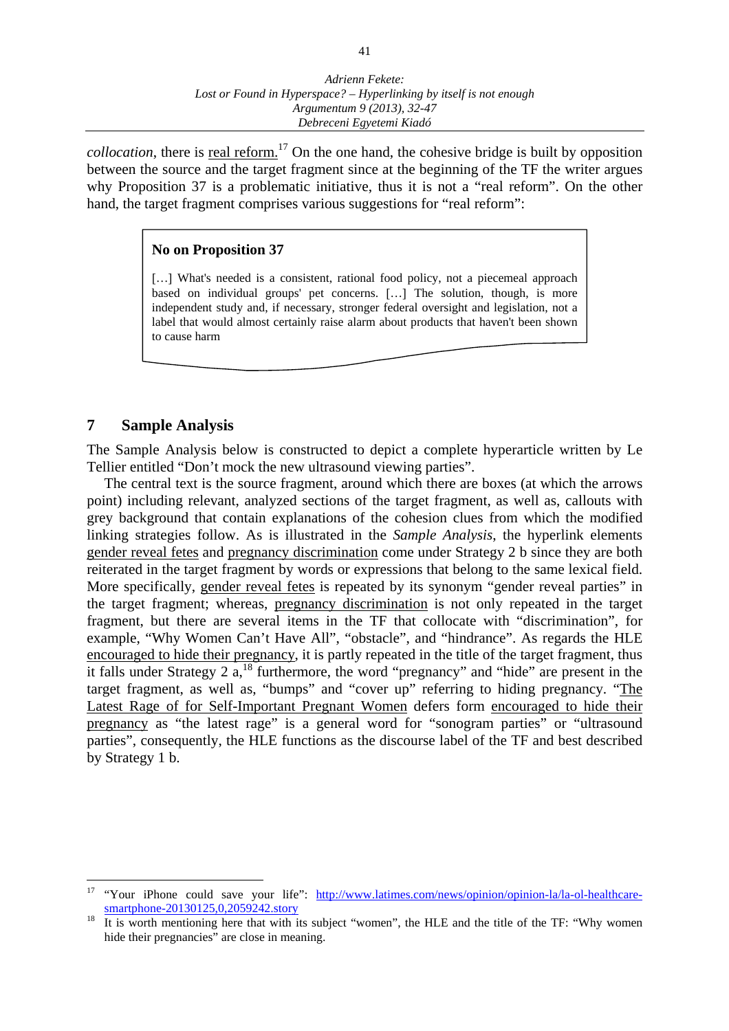*collocation*, there is real reform.<sup>17</sup> On the one hand, the cohesive bridge is built by opposition between the source and the target fragment since at the beginning of the TF the writer argues why Proposition 37 is a problematic initiative, thus it is not a "real reform". On the other hand, the target fragment comprises various suggestions for "real reform":

### **No on Proposition 37**

[...] What's needed is a consistent, rational food policy, not a piecemeal approach based on individual groups' pet concerns. […] The solution, though, is more independent study and, if necessary, stronger federal oversight and legislation, not a label that would almost certainly raise alarm about products that haven't been shown to cause harm

## **7 Sample Analysis**

 $\overline{a}$ 

The Sample Analysis below is constructed to depict a complete hyperarticle written by Le Tellier entitled "Don't mock the new ultrasound viewing parties".

 The central text is the source fragment, around which there are boxes (at which the arrows point) including relevant, analyzed sections of the target fragment, as well as, callouts with grey background that contain explanations of the cohesion clues from which the modified linking strategies follow. As is illustrated in the *Sample Analysis*, the hyperlink elements gender reveal fetes and pregnancy discrimination come under Strategy 2 b since they are both reiterated in the target fragment by words or expressions that belong to the same lexical field. More specifically, gender reveal fetes is repeated by its synonym "gender reveal parties" in the target fragment; whereas, pregnancy discrimination is not only repeated in the target fragment, but there are several items in the TF that collocate with "discrimination", for example, "Why Women Can't Have All", "obstacle", and "hindrance". As regards the HLE encouraged to hide their pregnancy, it is partly repeated in the title of the target fragment, thus it falls under Strategy 2 a,18 furthermore, the word "pregnancy" and "hide" are present in the target fragment, as well as, "bumps" and "cover up" referring to hiding pregnancy. "The Latest Rage of for Self-Important Pregnant Women defers form encouraged to hide their pregnancy as "the latest rage" is a general word for "sonogram parties" or "ultrasound parties", consequently, the HLE functions as the discourse label of the TF and best described by Strategy 1 b.

<sup>&</sup>lt;sup>17</sup> "Your iPhone could save your life": http://www.latimes.com/news/opinion/opinion-la/la-ol-healthcaresmartphone-20130125,0,2059242.story

<sup>&</sup>lt;sup>18</sup> It is worth mentioning here that with its subject "women", the HLE and the title of the TF: "Why women hide their pregnancies" are close in meaning.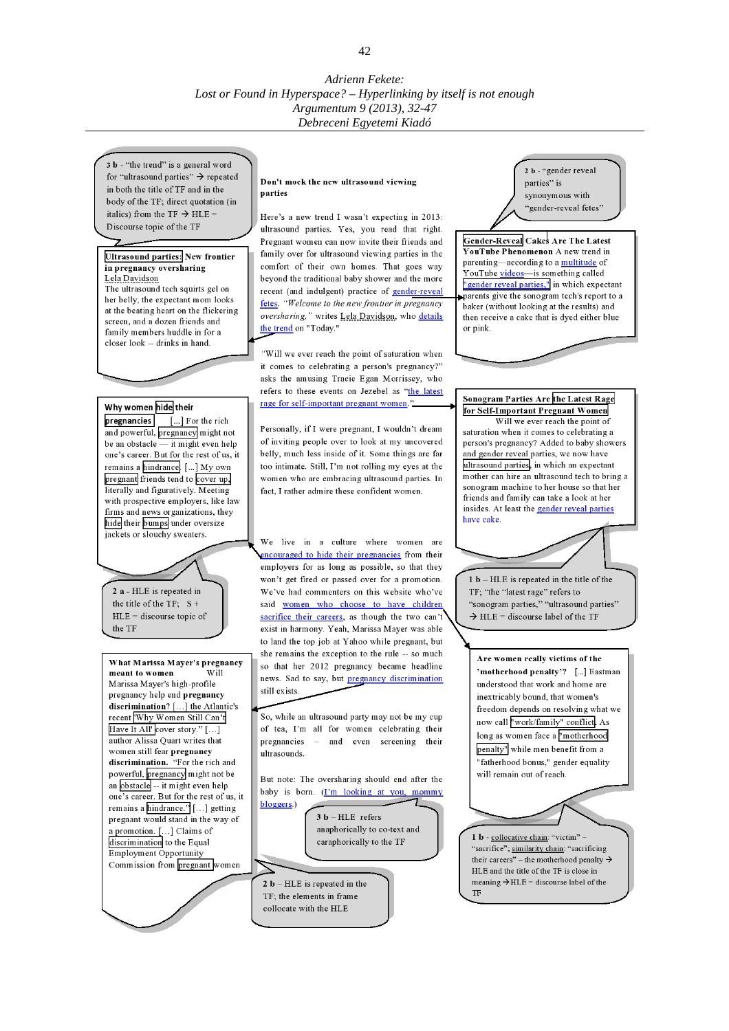3 b - "the trend" is a general word for "ultrasound parties"  $\rightarrow$  repeated in both the title of TF and in the body of the TF; direct quotation (in italics) from the TF  $\rightarrow$  HLE = Discourse topic of the TF

#### **Ultrasound parties: New frontier** in pregnancy oversharing Lela Davidson

The ultrasound tech squirts gel on her belly, the expectant mom looks at the beating heart on the flickering screen, and a dozen friends and family members huddle in for a closer look -- drinks in hand.

#### Why women hide their

pregnancies [...] For the rich and powerful, pregnancy might not be an obstacle  $\overline{-}$  it might even help one's career. But for the rest of us, it remains a hindrance. [...] My own pregnant friends tend to cover up, literally and figuratively. Meeting with prospective employers, like law firms and news organizations, they hide their bumps under oversize jackets or slouchy sweaters

2 a - HLE is repeated in the title of the TF:  $S +$  $HLE =$  discourse topic of the TF

What Marissa Mayer's pregnancy  $W<sub>11</sub>$ meant to women Marissa Mayer's high-profile pregnancy help end pregnancy discrimination? [...] the Atlantic's recent Why Women Still Can't Have It All' cover story." [...] author Alissa Ouart writes that women still fear pregnancy discrimination. "For the rich and powerful, pregnancy might not be an obstacle -- it might even help one's career. But for the rest of us, it remains a hindrance." [...] getting pregnant would stand in the way of a promotion. [...] Claims of discrimination to the Equal Employment Opportunity Commission from pregnant women

#### Don't mock the new ultrasound viewing parties

Here's a new trend I wasn't expecting in 2013: ultrasound parties. Yes, you read that right. Pregnant women can now invite their friends and family over for ultrasound viewing parties in the comfort of their own homes. That goes way beyond the traditional baby shower and the more recent (and indulgent) practice of gender-reveal fetes. "Welcome to the new frontier in pregnancy oversharing," writes Lela Davidson, who details the trend on "Today."

"Will we ever reach the point of saturation when it comes to celebrating a person's pregnancy?" asks the amusing Tracie Egan Morrissey, who refers to these events on Jezebel as "the latest rage for self-important pregnant women."

Personally, if I were pregnant, I wouldn't dream of inviting people over to look at my uncovered belly, much less inside of it. Some things are far too intimate. Still, I'm not rolling my eyes at the women who are embracing ultrasound parties. In fact. I rather admire these confident women.

We live in a culture where women are encouraged to hide their pregnancies from their employers for as long as possible, so that they won't get fired or passed over for a promotion. We've had commenters on this website who've said women who choose to have children sacrifice their careers, as though the two can't exist in harmony. Yeah, Marissa Mayer was able to land the top job at Yahoo while pregnant, but she remains the exception to the rule -- so much so that her 2012 pregnancy became headline news. Sad to say, but pregnancy discrimination still exists.

So, while an ultrasound party may not be my cup of tea, I'm all for women celebrating their pregnancies - and even screening their ultrasounds.

But note: The oversharing should end after the baby is born. (I'm looking at you, mommy bloggers.)

 $3 b - HLE$  refers anaphorically to co-text and caraphorically to the TF

 $2 b - HLE$  is repeated in the TF; the elements in frame collocate with the HLE

2 b - "gender reveal parties" is synonymous with 'gender-reveal fetes"

Gender-Reveal Cakes Are The Latest YouTube Phenomenon A new trend in parenting—according to a multitude of YouTube videos-is something called "gender reveal parties," in which expectant parents give the sonogram tech's report to a baker (without looking at the results) and then receive a cake that is dyed either blue or pink.

#### Sonogram Parties Are the Latest Rage for Self-Important Pregnant Women

Will we ever reach the point of saturation when it comes to celebrating a person's pregnancy? Added to baby showers and gender reveal parties, we now have ultrasound parties, in which an expectant mother can hire an ultrasound tech to bring a sonogram machine to her house so that her friends and family can take a look at her insides. At least the gender reveal parties have cake.

 $1 b - HLE$  is repeated in the title of the TF; "the "latest rage" refers to "sonogram parties," "ultrasound parties"  $\rightarrow$  HLE = discourse label of the TF

Are women really victims of the 'motherhood penalty'? [...] Eastman understood that work and home are inextricably bound, that women's freedom depends on resolving what we now call "work/family" conflict. As long as women face a "motherhood penalty" while men benefit from a "fatherhood bonus," gender equality will remain out of reach.

1 b - collocative chain: "victim" their careers" – the motherhood penalty  $\rightarrow$ HLE and the title of the TF is close in meaning  $\rightarrow$  HLE = discourse label of the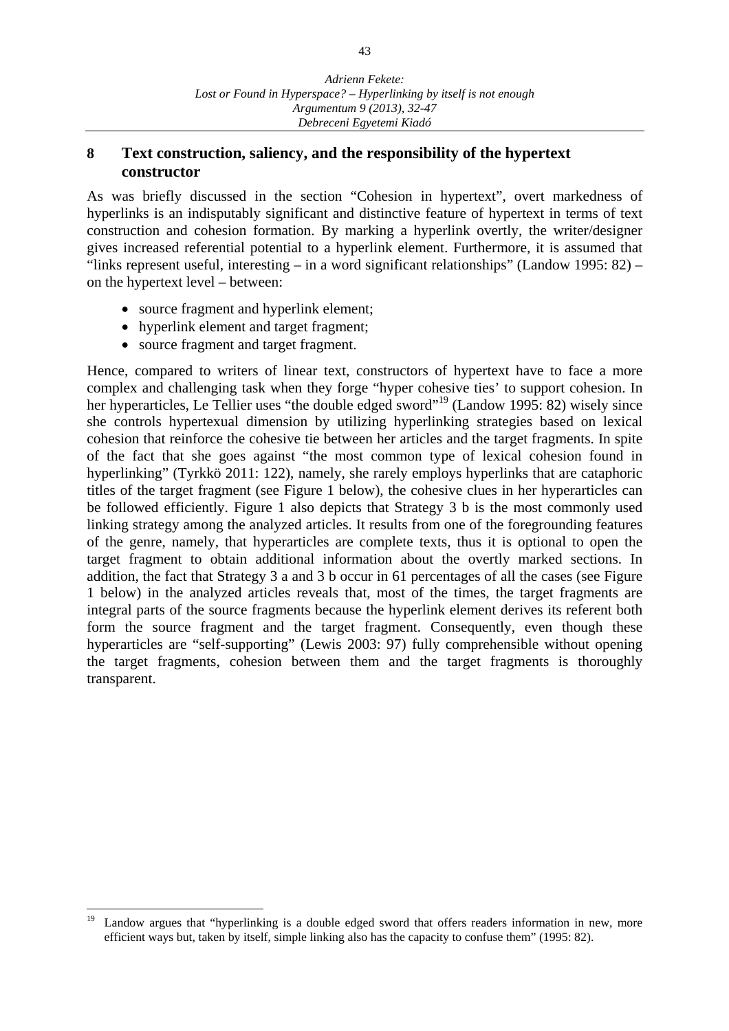## **8 Text construction, saliency, and the responsibility of the hypertext constructor**

As was briefly discussed in the section "Cohesion in hypertext", overt markedness of hyperlinks is an indisputably significant and distinctive feature of hypertext in terms of text construction and cohesion formation. By marking a hyperlink overtly, the writer/designer gives increased referential potential to a hyperlink element. Furthermore, it is assumed that "links represent useful, interesting – in a word significant relationships" (Landow 1995: 82) – on the hypertext level – between:

- source fragment and hyperlink element;
- hyperlink element and target fragment;
- source fragment and target fragment.

Hence, compared to writers of linear text, constructors of hypertext have to face a more complex and challenging task when they forge "hyper cohesive ties' to support cohesion. In her hyperarticles, Le Tellier uses "the double edged sword"<sup>19</sup> (Landow 1995: 82) wisely since she controls hypertexual dimension by utilizing hyperlinking strategies based on lexical cohesion that reinforce the cohesive tie between her articles and the target fragments. In spite of the fact that she goes against "the most common type of lexical cohesion found in hyperlinking" (Tyrkkö 2011: 122), namely, she rarely employs hyperlinks that are cataphoric titles of the target fragment (see Figure 1 below), the cohesive clues in her hyperarticles can be followed efficiently. Figure 1 also depicts that Strategy 3 b is the most commonly used linking strategy among the analyzed articles. It results from one of the foregrounding features of the genre, namely, that hyperarticles are complete texts, thus it is optional to open the target fragment to obtain additional information about the overtly marked sections. In addition, the fact that Strategy 3 a and 3 b occur in 61 percentages of all the cases (see Figure 1 below) in the analyzed articles reveals that, most of the times, the target fragments are integral parts of the source fragments because the hyperlink element derives its referent both form the source fragment and the target fragment. Consequently, even though these hyperarticles are "self-supporting" (Lewis 2003: 97) fully comprehensible without opening the target fragments, cohesion between them and the target fragments is thoroughly transparent.

<sup>19</sup> Landow argues that "hyperlinking is a double edged sword that offers readers information in new, more efficient ways but, taken by itself, simple linking also has the capacity to confuse them" (1995: 82).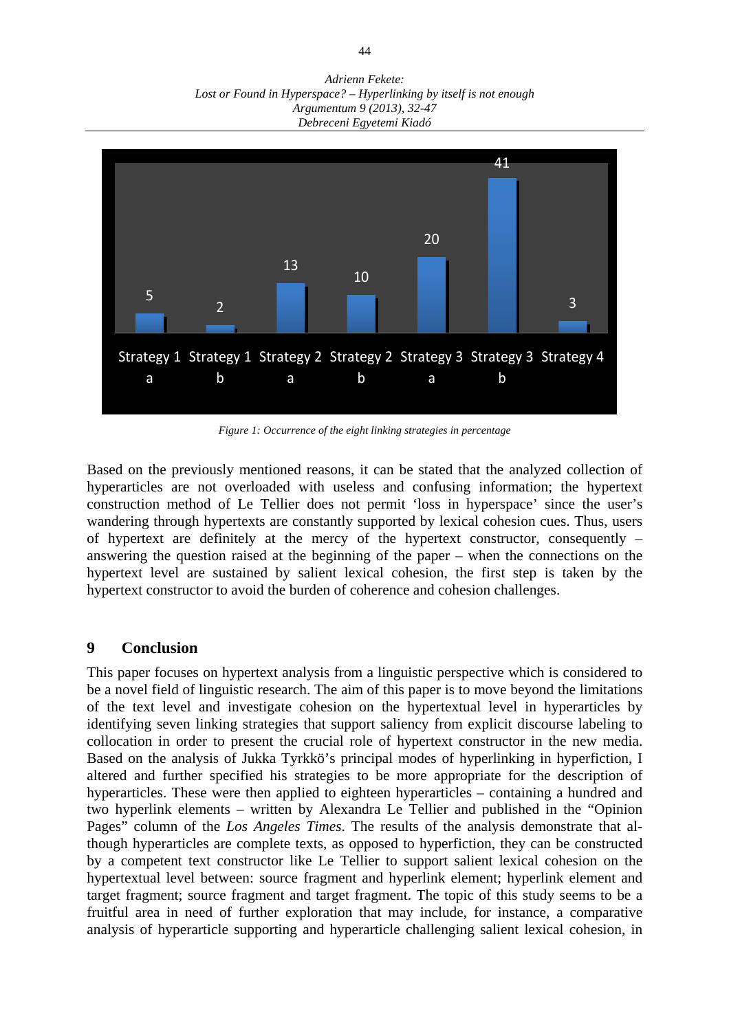*Adrienn Fekete: Lost or Found in Hyperspace? – Hyperlinking by itself is not enough Argumentum 9 (2013), 32-47 Debreceni Egyetemi Kiadó* 



*Figure 1: Occurrence of the eight linking strategies in percentage*

Based on the previously mentioned reasons, it can be stated that the analyzed collection of hyperarticles are not overloaded with useless and confusing information; the hypertext construction method of Le Tellier does not permit 'loss in hyperspace' since the user's wandering through hypertexts are constantly supported by lexical cohesion cues. Thus, users of hypertext are definitely at the mercy of the hypertext constructor, consequently – answering the question raised at the beginning of the paper – when the connections on the hypertext level are sustained by salient lexical cohesion, the first step is taken by the hypertext constructor to avoid the burden of coherence and cohesion challenges.

### **9 Conclusion**

This paper focuses on hypertext analysis from a linguistic perspective which is considered to be a novel field of linguistic research. The aim of this paper is to move beyond the limitations of the text level and investigate cohesion on the hypertextual level in hyperarticles by identifying seven linking strategies that support saliency from explicit discourse labeling to collocation in order to present the crucial role of hypertext constructor in the new media. Based on the analysis of Jukka Tyrkkö's principal modes of hyperlinking in hyperfiction, I altered and further specified his strategies to be more appropriate for the description of hyperarticles. These were then applied to eighteen hyperarticles – containing a hundred and two hyperlink elements – written by Alexandra Le Tellier and published in the "Opinion Pages" column of the *Los Angeles Times*. The results of the analysis demonstrate that although hyperarticles are complete texts, as opposed to hyperfiction, they can be constructed by a competent text constructor like Le Tellier to support salient lexical cohesion on the hypertextual level between: source fragment and hyperlink element; hyperlink element and target fragment; source fragment and target fragment. The topic of this study seems to be a fruitful area in need of further exploration that may include, for instance, a comparative analysis of hyperarticle supporting and hyperarticle challenging salient lexical cohesion, in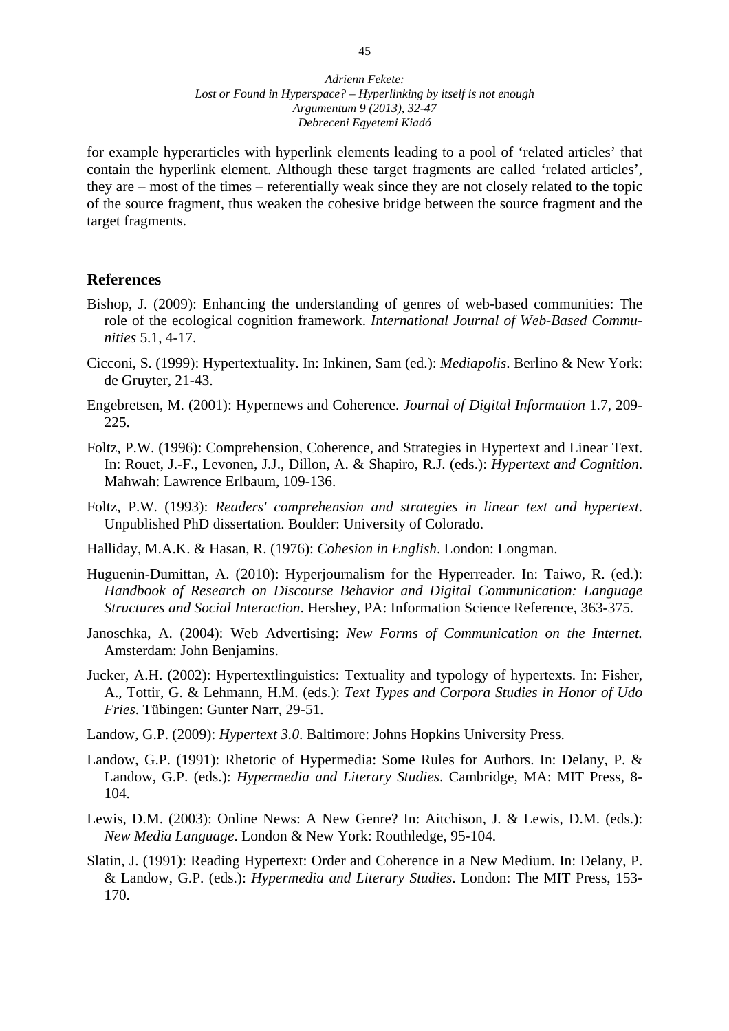for example hyperarticles with hyperlink elements leading to a pool of 'related articles' that contain the hyperlink element. Although these target fragments are called 'related articles', they are – most of the times – referentially weak since they are not closely related to the topic of the source fragment, thus weaken the cohesive bridge between the source fragment and the target fragments.

### **References**

- Bishop, J. (2009): Enhancing the understanding of genres of web-based communities: The role of the ecological cognition framework. *International Journal of Web-Based Communities* 5.1, 4-17.
- Cicconi, S. (1999): Hypertextuality. In: Inkinen, Sam (ed.): *Mediapolis*. Berlino & New York: de Gruyter, 21-43.
- Engebretsen, M. (2001): Hypernews and Coherence. *Journal of Digital Information* 1.7, 209- 225.
- Foltz, P.W. (1996): Comprehension, Coherence, and Strategies in Hypertext and Linear Text. In: Rouet, J.-F., Levonen, J.J., Dillon, A. & Shapiro, R.J. (eds.): *Hypertext and Cognition*. Mahwah: Lawrence Erlbaum, 109-136.
- Foltz, P.W. (1993): *Readers' comprehension and strategies in linear text and hypertext*. Unpublished PhD dissertation. Boulder: University of Colorado.
- Halliday, M.A.K. & Hasan, R. (1976): *Cohesion in English*. London: Longman.
- Huguenin-Dumittan, A. (2010): Hyperjournalism for the Hyperreader. In: Taiwo, R. (ed.): *Handbook of Research on Discourse Behavior and Digital Communication: Language Structures and Social Interaction*. Hershey, PA: Information Science Reference, 363-375.
- Janoschka, A. (2004): Web Advertising: *New Forms of Communication on the Internet.*  Amsterdam: John Benjamins.
- Jucker, A.H. (2002): Hypertextlinguistics: Textuality and typology of hypertexts. In: Fisher, A., Tottir, G. & Lehmann, H.M. (eds.): *Text Types and Corpora Studies in Honor of Udo Fries*. Tübingen: Gunter Narr, 29-51.
- Landow, G.P. (2009): *Hypertext 3.0*. Baltimore: Johns Hopkins University Press.
- Landow, G.P. (1991): Rhetoric of Hypermedia: Some Rules for Authors. In: Delany, P. & Landow, G.P. (eds.): *Hypermedia and Literary Studies*. Cambridge, MA: MIT Press, 8- 104.
- Lewis, D.M. (2003): Online News: A New Genre? In: Aitchison, J. & Lewis, D.M. (eds.): *New Media Language*. London & New York: Routhledge, 95-104.
- Slatin, J. (1991): Reading Hypertext: Order and Coherence in a New Medium. In: Delany, P. & Landow, G.P. (eds.): *Hypermedia and Literary Studies*. London: The MIT Press, 153- 170.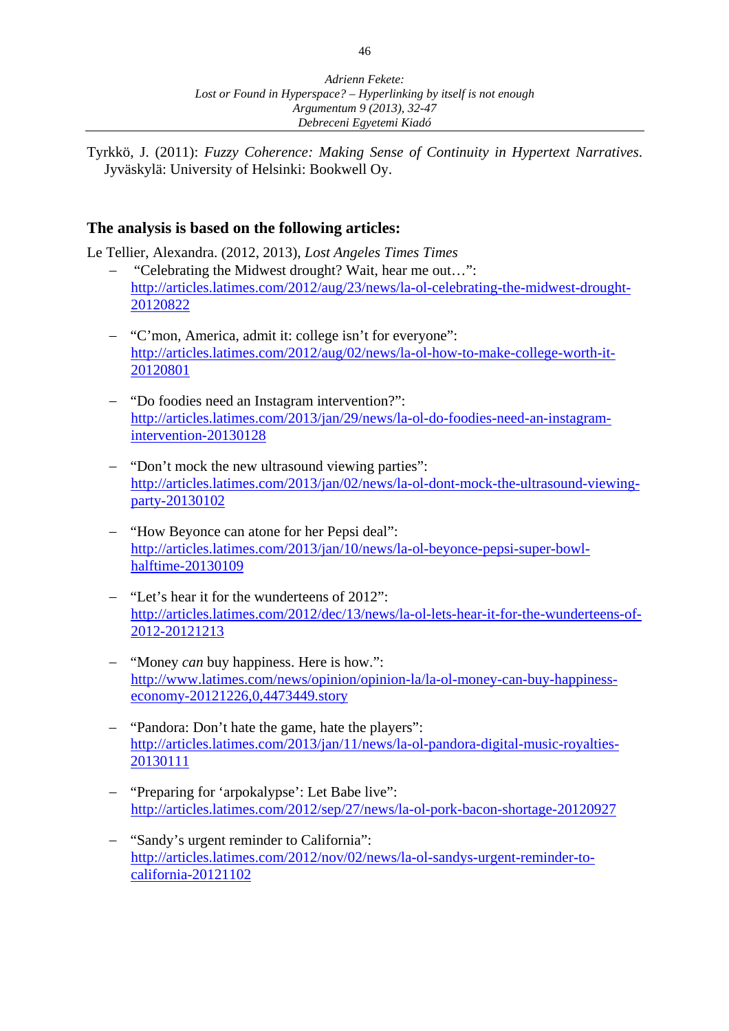Tyrkkö, J. (2011): *Fuzzy Coherence: Making Sense of Continuity in Hypertext Narratives*. Jyväskylä: University of Helsinki: Bookwell Oy.

# **The analysis is based on the following articles:**

Le Tellier, Alexandra. (2012, 2013), *Lost Angeles Times Times*

- − "Celebrating the Midwest drought? Wait, hear me out…": http://articles.latimes.com/2012/aug/23/news/la-ol-celebrating-the-midwest-drought-20120822
- − "C'mon, America, admit it: college isn't for everyone": http://articles.latimes.com/2012/aug/02/news/la-ol-how-to-make-college-worth-it-20120801
- − "Do foodies need an Instagram intervention?": http://articles.latimes.com/2013/jan/29/news/la-ol-do-foodies-need-an-instagramintervention-20130128
- − "Don't mock the new ultrasound viewing parties": http://articles.latimes.com/2013/jan/02/news/la-ol-dont-mock-the-ultrasound-viewingparty-20130102
- − "How Beyonce can atone for her Pepsi deal": http://articles.latimes.com/2013/jan/10/news/la-ol-beyonce-pepsi-super-bowlhalftime-20130109
- − "Let's hear it for the wunderteens of 2012": http://articles.latimes.com/2012/dec/13/news/la-ol-lets-hear-it-for-the-wunderteens-of-2012-20121213
- − "Money *can* buy happiness. Here is how.": http://www.latimes.com/news/opinion/opinion-la/la-ol-money-can-buy-happinesseconomy-20121226,0,4473449.story
- "Pandora: Don't hate the game, hate the players": http://articles.latimes.com/2013/jan/11/news/la-ol-pandora-digital-music-royalties-20130111
- − "Preparing for 'arpokalypse': Let Babe live": http://articles.latimes.com/2012/sep/27/news/la-ol-pork-bacon-shortage-20120927
- − "Sandy's urgent reminder to California": http://articles.latimes.com/2012/nov/02/news/la-ol-sandys-urgent-reminder-tocalifornia-20121102